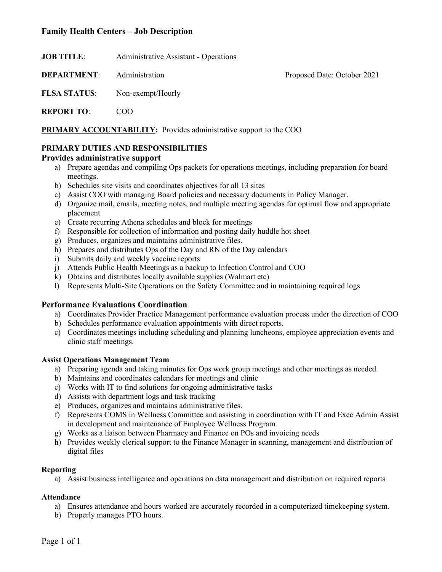# **Family Health Centers – Job Description**

**JOB TITLE:** Administrative Assistant - Operations

**DEPARTMENT:** Administration **Proposed Date: October 2021** 

**FLSA STATUS**: Non-exempt/Hourly

**REPORT TO**: COO

**PRIMARY ACCOUNTABILITY:** Provides administrative support to the COO

### **PRIMARY DUTIES AND RESPONSIBILITIES**

#### **Provides administrative support**

- a) Prepare agendas and compiling Ops packets for operations meetings, including preparation for board meetings.
- b) Schedules site visits and coordinates objectives for all 13 sites
- c) Assist COO with managing Board policies and necessary documents in Policy Manager.
- d) Organize mail, emails, meeting notes, and multiple meeting agendas for optimal flow and appropriate placement
- e) Create recurring Athena schedules and block for meetings
- f) Responsible for collection of information and posting daily huddle hot sheet
- g) Produces, organizes and maintains administrative files.
- h) Prepares and distributes Ops of the Day and RN of the Day calendars
- i) Submits daily and weekly vaccine reports
- j) Attends Public Health Meetings as a backup to Infection Control and COO
- k) Obtains and distributes locally available supplies (Walmart etc)
- l) Represents Multi-Site Operations on the Safety Committee and in maintaining required logs

# **Performance Evaluations Coordination**

- a) Coordinates Provider Practice Management performance evaluation process under the direction of COO
- b) Schedules performance evaluation appointments with direct reports.
- c) Coordinates meetings including scheduling and planning luncheons, employee appreciation events and clinic staff meetings.

#### **Assist Operations Management Team**

- a) Preparing agenda and taking minutes for Ops work group meetings and other meetings as needed.
- b) Maintains and coordinates calendars for meetings and clinic
- c) Works with IT to find solutions for ongoing administrative tasks
- d) Assists with department logs and task tracking
- e) Produces, organizes and maintains administrative files.
- f) Represents COMS in Wellness Committee and assisting in coordination with IT and Exec Admin Assist in development and maintenance of Employee Wellness Program
- g) Works as a liaison between Pharmacy and Finance on POs and invoicing needs
- h) Provides weekly clerical support to the Finance Manager in scanning, management and distribution of digital files

# **Reporting**

a) Assist business intelligence and operations on data management and distribution on required reports

# **Attendance**

- a) Ensures attendance and hours worked are accurately recorded in a computerized timekeeping system.
- b) Properly manages PTO hours.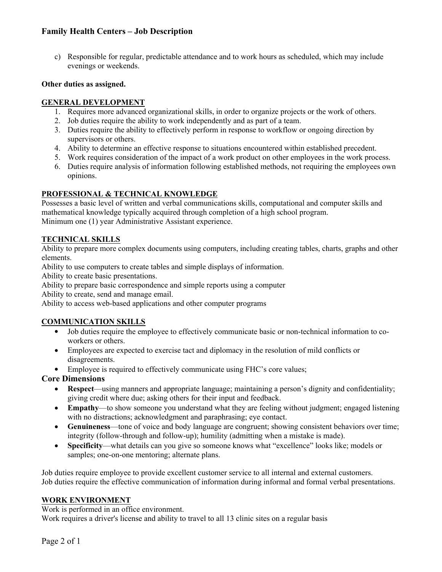# **Family Health Centers – Job Description**

c) Responsible for regular, predictable attendance and to work hours as scheduled, which may include evenings or weekends.

#### **Other duties as assigned.**

### **GENERAL DEVELOPMENT**

- 1. Requires more advanced organizational skills, in order to organize projects or the work of others.
- 2. Job duties require the ability to work independently and as part of a team.
- 3. Duties require the ability to effectively perform in response to workflow or ongoing direction by supervisors or others.
- 4. Ability to determine an effective response to situations encountered within established precedent.
- 5. Work requires consideration of the impact of a work product on other employees in the work process.
- 6. Duties require analysis of information following established methods, not requiring the employees own opinions.

### **PROFESSIONAL & TECHNICAL KNOWLEDGE**

Possesses a basic level of written and verbal communications skills, computational and computer skills and mathematical knowledge typically acquired through completion of a high school program. Minimum one (1) year Administrative Assistant experience.

### **TECHNICAL SKILLS**

Ability to prepare more complex documents using computers, including creating tables, charts, graphs and other elements.

Ability to use computers to create tables and simple displays of information.

Ability to create basic presentations.

Ability to prepare basic correspondence and simple reports using a computer

Ability to create, send and manage email.

Ability to access web-based applications and other computer programs

# **COMMUNICATION SKILLS**

- Job duties require the employee to effectively communicate basic or non-technical information to coworkers or others.
- Employees are expected to exercise tact and diplomacy in the resolution of mild conflicts or disagreements.
- Employee is required to effectively communicate using FHC's core values;

# **Core Dimensions**

- **Respect**—using manners and appropriate language; maintaining a person's dignity and confidentiality; giving credit where due; asking others for their input and feedback.
- Empathy—to show someone you understand what they are feeling without judgment; engaged listening with no distractions; acknowledgment and paraphrasing; eye contact.
- **Genuineness**—tone of voice and body language are congruent; showing consistent behaviors over time; integrity (follow-through and follow-up); humility (admitting when a mistake is made).
- **Specificity**—what details can you give so someone knows what "excellence" looks like; models or samples; one-on-one mentoring; alternate plans.

Job duties require employee to provide excellent customer service to all internal and external customers. Job duties require the effective communication of information during informal and formal verbal presentations.

#### **WORK ENVIRONMENT**

Work is performed in an office environment.

Work requires a driver's license and ability to travel to all 13 clinic sites on a regular basis